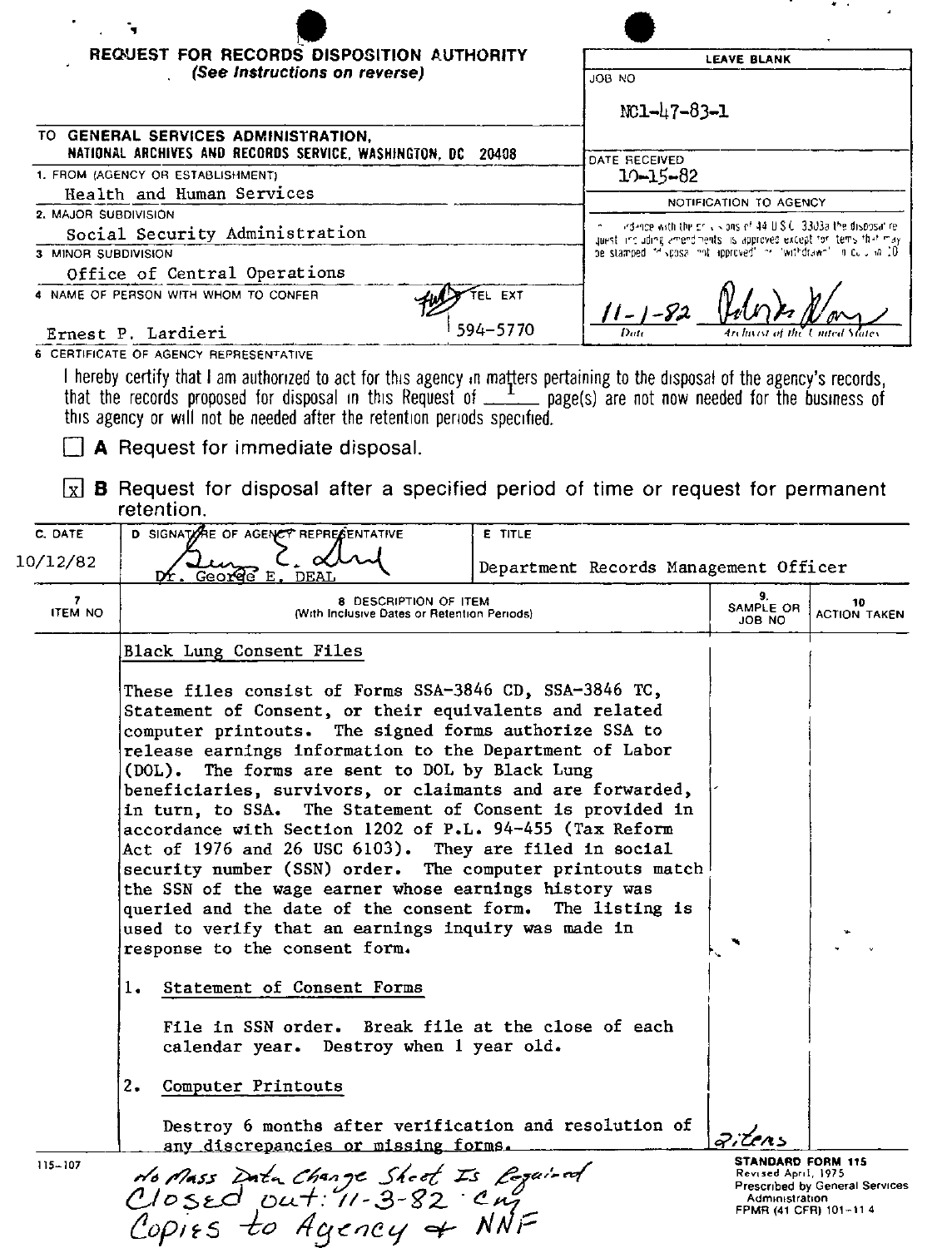|                                   | REQUEST FOR RECORDS DISPOSITION AUTHORITY<br>(See Instructions on reverse)                                                                                                                                                                                                                                                                                                                                                                                                                                                                                                                                                                                                                                                                                                                                                                                                                                                                       |                                       | LEAVE BLANK                                                                                                                         |                           |                           |
|-----------------------------------|--------------------------------------------------------------------------------------------------------------------------------------------------------------------------------------------------------------------------------------------------------------------------------------------------------------------------------------------------------------------------------------------------------------------------------------------------------------------------------------------------------------------------------------------------------------------------------------------------------------------------------------------------------------------------------------------------------------------------------------------------------------------------------------------------------------------------------------------------------------------------------------------------------------------------------------------------|---------------------------------------|-------------------------------------------------------------------------------------------------------------------------------------|---------------------------|---------------------------|
|                                   |                                                                                                                                                                                                                                                                                                                                                                                                                                                                                                                                                                                                                                                                                                                                                                                                                                                                                                                                                  |                                       | JOB NO                                                                                                                              |                           |                           |
|                                   |                                                                                                                                                                                                                                                                                                                                                                                                                                                                                                                                                                                                                                                                                                                                                                                                                                                                                                                                                  |                                       | $NC1 - 47 - 83 - 1$                                                                                                                 |                           |                           |
|                                   | TO GENERAL SERVICES ADMINISTRATION,<br>NATIONAL ARCHIVES AND RECORDS SERVICE, WASHINGTON, DC 20408                                                                                                                                                                                                                                                                                                                                                                                                                                                                                                                                                                                                                                                                                                                                                                                                                                               |                                       | DATE RECEIVED                                                                                                                       |                           |                           |
| 1. FROM (AGENCY OR ESTABLISHMENT) |                                                                                                                                                                                                                                                                                                                                                                                                                                                                                                                                                                                                                                                                                                                                                                                                                                                                                                                                                  |                                       | $10 - 15 - 82$                                                                                                                      |                           |                           |
| Health and Human Services         |                                                                                                                                                                                                                                                                                                                                                                                                                                                                                                                                                                                                                                                                                                                                                                                                                                                                                                                                                  |                                       | NOTIFICATION TO AGENCY                                                                                                              |                           |                           |
| 2. MAJOR SUBDIVISION              |                                                                                                                                                                                                                                                                                                                                                                                                                                                                                                                                                                                                                                                                                                                                                                                                                                                                                                                                                  |                                       | indence with the crisis ons of 44 U.S.C. 3303a the disposal re-                                                                     |                           |                           |
| Social Security Administration    |                                                                                                                                                                                                                                                                                                                                                                                                                                                                                                                                                                                                                                                                                                                                                                                                                                                                                                                                                  |                                       | quest including amendments is approved except for items that may<br>be stamped in sposal and approved in invatidance in cultural 10 |                           |                           |
| 3 MINOR SUBDIVISION               |                                                                                                                                                                                                                                                                                                                                                                                                                                                                                                                                                                                                                                                                                                                                                                                                                                                                                                                                                  |                                       |                                                                                                                                     |                           |                           |
|                                   | Office of Central Operations                                                                                                                                                                                                                                                                                                                                                                                                                                                                                                                                                                                                                                                                                                                                                                                                                                                                                                                     |                                       |                                                                                                                                     |                           |                           |
|                                   | 4 NAME OF PERSON WITH WHOM TO CONFER                                                                                                                                                                                                                                                                                                                                                                                                                                                                                                                                                                                                                                                                                                                                                                                                                                                                                                             | <b>FL EXT</b><br>594-5770             | $11 - 1 - 82$                                                                                                                       |                           |                           |
|                                   | Ernest P. Lardieri<br>6 CERTIFICATE OF AGENCY REPRESENTATIVE                                                                                                                                                                                                                                                                                                                                                                                                                                                                                                                                                                                                                                                                                                                                                                                                                                                                                     |                                       |                                                                                                                                     |                           |                           |
|                                   | I hereby certify that I am authorized to act for this agency in matters pertaining to the disposal of the agency's records,<br>that the records proposed for disposal in this Request of $\frac{1}{\sqrt{2}}$ page(s) are not now needed for the business of<br>this agency or will not be needed after the retention periods specified.<br><b>A</b> Request for immediate disposal.                                                                                                                                                                                                                                                                                                                                                                                                                                                                                                                                                             |                                       |                                                                                                                                     |                           |                           |
| l x l                             | <b>B</b> Request for disposal after a specified period of time or request for permanent<br>retention.                                                                                                                                                                                                                                                                                                                                                                                                                                                                                                                                                                                                                                                                                                                                                                                                                                            |                                       |                                                                                                                                     |                           |                           |
| C. DATE                           | D SIGNATIONE OF AGENCY REPRESENTATIVE<br>E TITLE                                                                                                                                                                                                                                                                                                                                                                                                                                                                                                                                                                                                                                                                                                                                                                                                                                                                                                 |                                       |                                                                                                                                     |                           |                           |
| 10/12/82                          | George E<br>Dr.<br>DEAI                                                                                                                                                                                                                                                                                                                                                                                                                                                                                                                                                                                                                                                                                                                                                                                                                                                                                                                          | Department Records Management Officer |                                                                                                                                     |                           |                           |
| 7<br><b>ITEM NO</b>               | <b>8 DESCRIPTION OF ITEM</b><br>(With Inclusive Dates or Retention Periods)                                                                                                                                                                                                                                                                                                                                                                                                                                                                                                                                                                                                                                                                                                                                                                                                                                                                      |                                       |                                                                                                                                     | 9.<br>SAMPLE OR<br>JOB NO | 10<br><b>ACTION TAKEN</b> |
|                                   | Black Lung Consent Files                                                                                                                                                                                                                                                                                                                                                                                                                                                                                                                                                                                                                                                                                                                                                                                                                                                                                                                         |                                       |                                                                                                                                     |                           |                           |
|                                   | These files consist of Forms SSA-3846 CD, SSA-3846 TC,<br>Statement of Consent, or their equivalents and related<br>computer printouts. The signed forms authorize SSA to<br>release earnings information to the Department of Labor<br>(DOL). The forms are sent to DOL by Black Lung<br>beneficiaries, survivors, or claimants and are forwarded,<br>in turn, to SSA. The Statement of Consent is provided in<br>accordance with Section 1202 of P.L. 94-455 (Tax Reform<br>Act of 1976 and 26 USC 6103). They are filed in social<br>security number (SSN) order. The computer printouts match<br>the SSN of the wage earner whose earnings history was<br>queried and the date of the consent form. The listing is<br>used to verify that an earnings inquiry was made in<br>response to the consent form.<br>1. Statement of Consent Forms<br>File in SSN order. Break file at the close of each<br>calendar year. Destroy when 1 year old. |                                       |                                                                                                                                     |                           |                           |
|                                   | 2. Computer Printouts                                                                                                                                                                                                                                                                                                                                                                                                                                                                                                                                                                                                                                                                                                                                                                                                                                                                                                                            |                                       |                                                                                                                                     |                           |                           |

Destroy 6 months after verification and resolution of<br>any discrepancies or missing forms.

No Mass Data Change Sheet Is Logained<br>Closed Out: 11-3-82 Cm<br>Copies to Agency & NNF

 $115 - 107$ 

**STANDARD FORM 115**<br>Revised April, 1975<br>Prescribed by General Services Administration<br>FPMR (41 CFR) 101-11 4

gitens